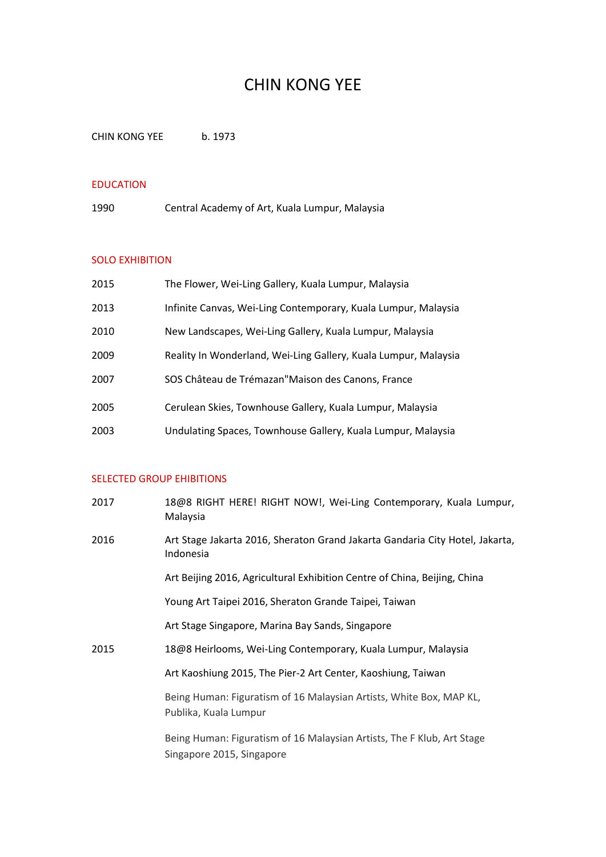## CHIN KONG YEE

CHIN KONG YEE b. 1973

### EDUCATION

1990 Central Academy of Art, Kuala Lumpur, Malaysia

#### SOLO EXHIBITION

| 2015 | The Flower, Wei-Ling Gallery, Kuala Lumpur, Malaysia            |
|------|-----------------------------------------------------------------|
| 2013 | Infinite Canvas, Wei-Ling Contemporary, Kuala Lumpur, Malaysia  |
| 2010 | New Landscapes, Wei-Ling Gallery, Kuala Lumpur, Malaysia        |
| 2009 | Reality In Wonderland, Wei-Ling Gallery, Kuala Lumpur, Malaysia |
| 2007 | SOS Château de Trémazan"Maison des Canons, France               |
| 2005 | Cerulean Skies, Townhouse Gallery, Kuala Lumpur, Malaysia       |
| 2003 | Undulating Spaces, Townhouse Gallery, Kuala Lumpur, Malaysia    |

## SELECTED GROUP EHIBITIONS

| 2017 | 18@8 RIGHT HERE! RIGHT NOW!, Wei-Ling Contemporary, Kuala Lumpur,<br>Malaysia                       |
|------|-----------------------------------------------------------------------------------------------------|
| 2016 | Art Stage Jakarta 2016, Sheraton Grand Jakarta Gandaria City Hotel, Jakarta,<br>Indonesia           |
|      | Art Beijing 2016, Agricultural Exhibition Centre of China, Beijing, China                           |
|      | Young Art Taipei 2016, Sheraton Grande Taipei, Taiwan                                               |
|      | Art Stage Singapore, Marina Bay Sands, Singapore                                                    |
| 2015 | 18@8 Heirlooms, Wei-Ling Contemporary, Kuala Lumpur, Malaysia                                       |
|      | Art Kaoshiung 2015, The Pier-2 Art Center, Kaoshiung, Taiwan                                        |
|      | Being Human: Figuratism of 16 Malaysian Artists, White Box, MAP KL,<br>Publika, Kuala Lumpur        |
|      | Being Human: Figuratism of 16 Malaysian Artists, The F Klub, Art Stage<br>Singapore 2015, Singapore |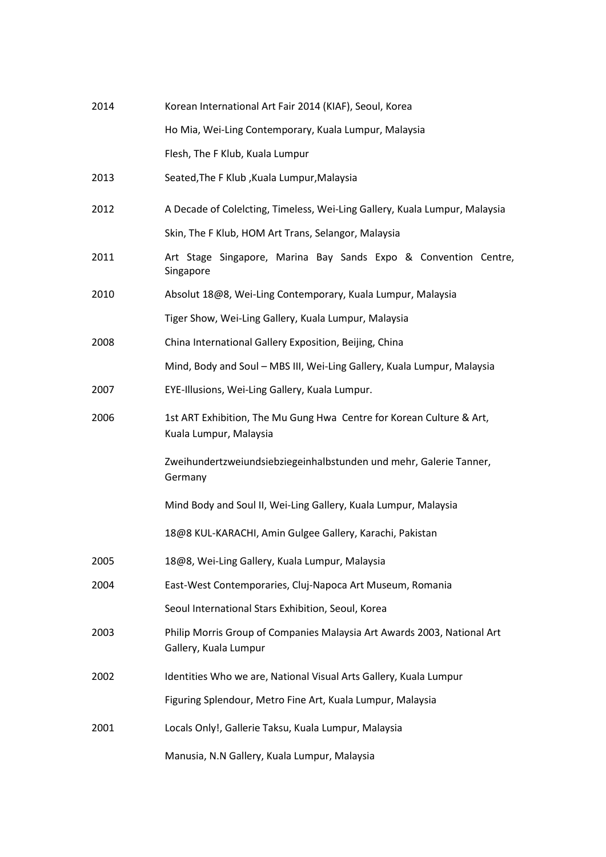| 2014 | Korean International Art Fair 2014 (KIAF), Seoul, Korea                                          |
|------|--------------------------------------------------------------------------------------------------|
|      | Ho Mia, Wei-Ling Contemporary, Kuala Lumpur, Malaysia                                            |
|      | Flesh, The F Klub, Kuala Lumpur                                                                  |
| 2013 | Seated, The F Klub, Kuala Lumpur, Malaysia                                                       |
| 2012 | A Decade of Colelcting, Timeless, Wei-Ling Gallery, Kuala Lumpur, Malaysia                       |
|      | Skin, The F Klub, HOM Art Trans, Selangor, Malaysia                                              |
| 2011 | Art Stage Singapore, Marina Bay Sands Expo & Convention Centre,<br>Singapore                     |
| 2010 | Absolut 18@8, Wei-Ling Contemporary, Kuala Lumpur, Malaysia                                      |
|      | Tiger Show, Wei-Ling Gallery, Kuala Lumpur, Malaysia                                             |
| 2008 | China International Gallery Exposition, Beijing, China                                           |
|      | Mind, Body and Soul - MBS III, Wei-Ling Gallery, Kuala Lumpur, Malaysia                          |
| 2007 | EYE-Illusions, Wei-Ling Gallery, Kuala Lumpur.                                                   |
| 2006 | 1st ART Exhibition, The Mu Gung Hwa Centre for Korean Culture & Art,<br>Kuala Lumpur, Malaysia   |
|      | Zweihundertzweiundsiebziegeinhalbstunden und mehr, Galerie Tanner,<br>Germany                    |
|      | Mind Body and Soul II, Wei-Ling Gallery, Kuala Lumpur, Malaysia                                  |
|      | 18@8 KUL-KARACHI, Amin Gulgee Gallery, Karachi, Pakistan                                         |
| 2005 | 18@8, Wei-Ling Gallery, Kuala Lumpur, Malaysia                                                   |
| 2004 | East-West Contemporaries, Cluj-Napoca Art Museum, Romania                                        |
|      | Seoul International Stars Exhibition, Seoul, Korea                                               |
| 2003 | Philip Morris Group of Companies Malaysia Art Awards 2003, National Art<br>Gallery, Kuala Lumpur |
| 2002 | Identities Who we are, National Visual Arts Gallery, Kuala Lumpur                                |
|      | Figuring Splendour, Metro Fine Art, Kuala Lumpur, Malaysia                                       |
| 2001 | Locals Only!, Gallerie Taksu, Kuala Lumpur, Malaysia                                             |
|      | Manusia, N.N Gallery, Kuala Lumpur, Malaysia                                                     |